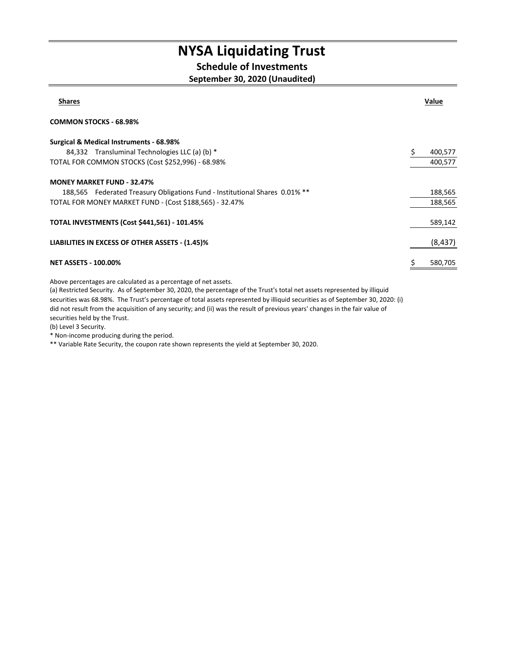#### **Schedule of Investments**

#### **September 30, 2020 (Unaudited)**

| <b>Shares</b>                                                               | Value    |
|-----------------------------------------------------------------------------|----------|
| <b>COMMON STOCKS - 68.98%</b>                                               |          |
| Surgical & Medical Instruments - 68.98%                                     |          |
| 84,332 Transluminal Technologies LLC (a) (b) *                              | 400,577  |
| TOTAL FOR COMMON STOCKS (Cost \$252,996) - 68.98%                           | 400,577  |
| <b>MONEY MARKET FUND - 32.47%</b>                                           |          |
| 188,565 Federated Treasury Obligations Fund - Institutional Shares 0.01% ** | 188,565  |
| TOTAL FOR MONEY MARKET FUND - (Cost \$188,565) - 32.47%                     | 188,565  |
| <b>TOTAL INVESTMENTS (Cost \$441,561) - 101.45%</b>                         | 589,142  |
| LIABILITIES IN EXCESS OF OTHER ASSETS - (1.45)%                             | (8, 437) |
| <b>NET ASSETS - 100.00%</b>                                                 | 580,705  |

Above percentages are calculated as a percentage of net assets.

(a) Restricted Security. As of September 30, 2020, the percentage of the Trust's total net assets represented by illiquid securities was 68.98%. The Trust's percentage of total assets represented by illiquid securities as of September 30, 2020: (i) did not result from the acquisition of any security; and (ii) was the result of previous years' changes in the fair value of securities held by the Trust.

(b) Level 3 Security.

\* Non-income producing during the period.

\*\* Variable Rate Security, the coupon rate shown represents the yield at September 30, 2020.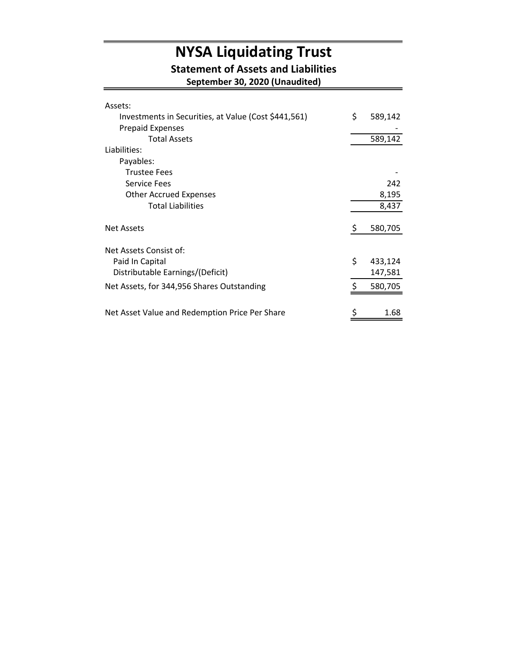#### **Statement of Assets and Liabilities**

**September 30, 2020 (Unaudited)**

| Assets:                                              |     |         |
|------------------------------------------------------|-----|---------|
| Investments in Securities, at Value (Cost \$441,561) | \$  | 589,142 |
| <b>Prepaid Expenses</b>                              |     |         |
| <b>Total Assets</b>                                  |     | 589,142 |
| Liabilities:                                         |     |         |
| Payables:                                            |     |         |
| <b>Trustee Fees</b>                                  |     |         |
| <b>Service Fees</b>                                  |     | 242     |
| <b>Other Accrued Expenses</b>                        |     | 8,195   |
| <b>Total Liabilities</b>                             |     | 8,437   |
| <b>Net Assets</b>                                    | \$, | 580,705 |
| Net Assets Consist of:                               |     |         |
| Paid In Capital                                      | \$  | 433,124 |
| Distributable Earnings/(Deficit)                     |     | 147,581 |
| Net Assets, for 344,956 Shares Outstanding           |     | 580,705 |
|                                                      |     |         |
| Net Asset Value and Redemption Price Per Share       | \$  | 1.68    |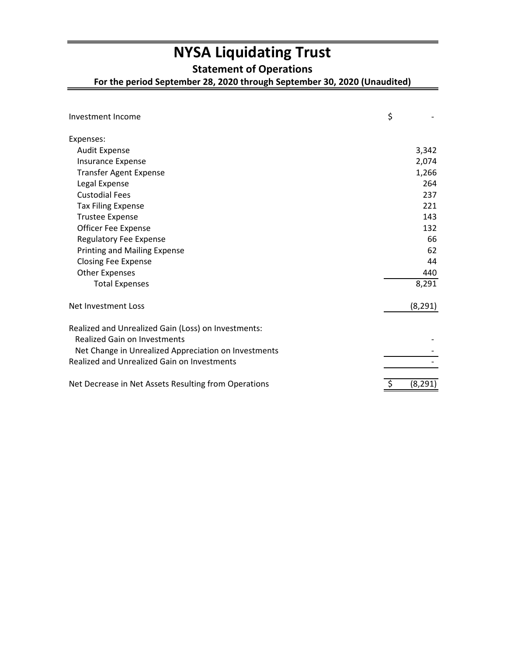**Statement of Operations**

**For the period September 28, 2020 through September 30, 2020 (Unaudited)**

| Investment Income                                    | \$       |
|------------------------------------------------------|----------|
| Expenses:                                            |          |
| <b>Audit Expense</b>                                 | 3,342    |
| <b>Insurance Expense</b>                             | 2,074    |
| <b>Transfer Agent Expense</b>                        | 1,266    |
| Legal Expense                                        | 264      |
| <b>Custodial Fees</b>                                | 237      |
| <b>Tax Filing Expense</b>                            | 221      |
| <b>Trustee Expense</b>                               | 143      |
| Officer Fee Expense                                  | 132      |
| <b>Regulatory Fee Expense</b>                        | 66       |
| <b>Printing and Mailing Expense</b>                  | 62       |
| <b>Closing Fee Expense</b>                           | 44       |
| <b>Other Expenses</b>                                | 440      |
| <b>Total Expenses</b>                                | 8,291    |
| Net Investment Loss                                  | (8, 291) |
| Realized and Unrealized Gain (Loss) on Investments:  |          |
| <b>Realized Gain on Investments</b>                  |          |
| Net Change in Unrealized Appreciation on Investments |          |
| <b>Realized and Unrealized Gain on Investments</b>   |          |
| Net Decrease in Net Assets Resulting from Operations | (8, 291) |